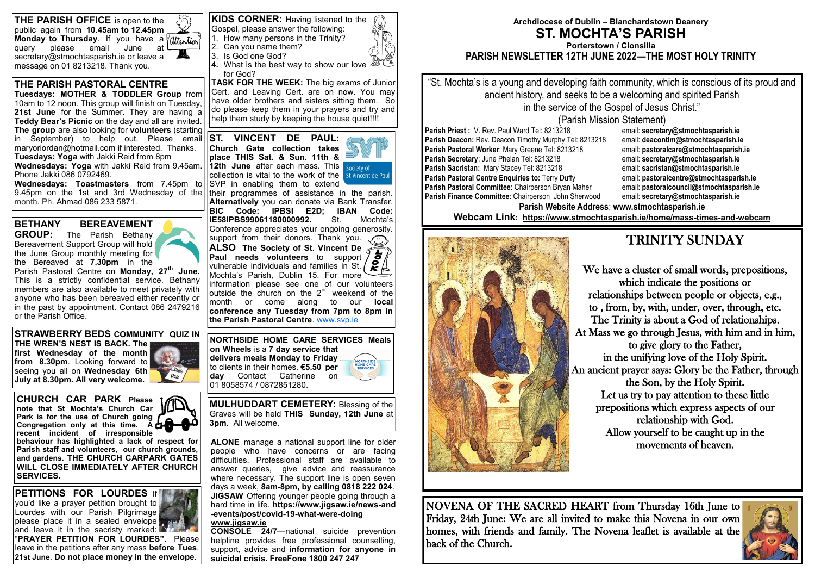#### **THE PARISH PASTORAL CENTRE**

**Tuesdays: MOTHER & TODDLER Group** from 10am to 12 noon. This group will finish on Tuesday, **21st June** for the Summer. They are having a **Teddy Bear's Picnic** on the day and all are invited. **The group** are also looking for **volunteers** (starting in September) to help out. Please email maryoriordan@hotmail.com if interested. Thanks. **Tuesdays: Yoga** with Jakki Reid from 8pm

**TASK FOR THE WEEK:** The big exams of Junior Cert. and Leaving Cert. are on now. You may have older brothers and sisters sitting them. So do please keep them in your prayers and try and help them study by keeping the house quiet!!!!

**Wednesdays: Yoga** with Jakki Reid from 9.45am. Phone Jakki 086 0792469.

**Wednesdays: Toastmasters** from 7.45pm to 9.45pm on the 1st and 3rd Wednesday of the month. Ph. Ahmad 086 233 5871.

Gospel, please answer the following: 1. How many persons in the Trinity?

2. Can you name them?

- 3. Is God one God?
- 
- **4.** What is the best way to show our love for God?

**ALONE** manage a national support line for older people who have concerns or are facing difficulties. Professional staff are available to answer queries, give advice and reassurance where necessary. The support line is open seven days a week, **8am-8pm, by calling 0818 222 024**. **JIGSAW** Offering younger people going through a hard time in life. **[https://www.jigsaw.ie/news](https://www.jigsaw.ie/news-and-events/post/covid-19-what-were-doing)-and -[events/post/covid](https://www.jigsaw.ie/news-and-events/post/covid-19-what-were-doing)-19-what-were-doing [www.jigsaw.ie](http://www.jigsaw.ie)**

**CONSOLE 24/7**—national suicide prevention helpline provides free professional counselling, support, advice and **information for anyone in suicidal crisis. FreeFone 1800 247 247** 

**ST. VINCENT DE PAUL: Church Gate collection takes place THIS Sat. & Sun. 11th & 12th June** after each mass. This society of collection is vital to the work of the SVP in enabling them to extend



**PETITIONS FOR LOURDES** If you'd like a prayer petition brought to Lourdes with our Parish Pilgrimage please place it in a sealed envelope and leave it in the sacristy marked:

their programmes of assistance in the parish. **Alternatively** you can donate via Bank Transfer. **BIC Code: IPBSI E2D; IBAN Code: IE58IPBS99061180000992.** St. Mochta's Conference appreciates your ongoing generosity. support from their donors. Thank you. **ALSO The Society of St. Vincent De** 

**Paul needs volunteers** to support vulnerable individuals and families in St.  $\left( \sum_{k=1}^{\infty} \frac{1}{k} \right)$ Mochta's Parish, Dublin 15. For more information please see one of our volunteers  $\frac{1}{2}$  outside the church on the  $2^{nd}$  weekend of the month or come along to our **local conference any Tuesday from 7pm to 8pm in the Parish Pastoral Centre**. [www.svp.ie](http://www.svp.ie)

**BETHANY BEREAVEMENT** 

**GROUP:** The Parish Bethany Bereavement Support Group will hold the June Group monthly meeting for the Bereaved at **7.30pm** in the



| <b>THE PARISH OFFICE</b> is open to the                                                                                | $\tilde{\zeta}$ |
|------------------------------------------------------------------------------------------------------------------------|-----------------|
| public again from 10.45am to 12.45pm                                                                                   |                 |
| <b>Monday to Thursday</b> . If you have a $\overline{\text{raise}}$ query please email June at $\overline{\text{Out}}$ |                 |
|                                                                                                                        |                 |
| secretary@stmochtasparish.ie or leave a                                                                                | A               |
| message on 01 8213218. Thank you.                                                                                      |                 |

# ention

**STRAWBERRY BEDS COMMUNITY QUIZ IN THE WREN'S NEST IS BACK. The** 

**first Wednesday of the month from 8.30pm**. Looking forward to seeing you all on **Wednesday 6th July at 8.30pm. All very welcome.** 

**CHURCH CAR PARK Please note that St Mochta's Church Car Park is for the use of Church going Congregation only at this time. A recent incident of irresponsible** 

**behaviour has highlighted a lack of respect for Parish staff and volunteers, our church grounds, and gardens. THE CHURCH CARPARK GATES WILL CLOSE IMMEDIATELY AFTER CHURCH SERVICES.**

**NORTHSIDE HOME CARE SERVICES Meals on Wheels** is a **7 day service that delivers meals Monday to Friday** NORTHSIDE<br>HOME CARE<br>SERVICES to clients in their homes. **€5.50 per day** Contact Catherine on 01 8058574 / 0872851280.

**MULHUDDART CEMETERY:** Blessing of the Graves will be held **THIS Sunday, 12th June** at **3pm.** All welcome.

"**PRAYER PETITION FOR LOURDES".** Please leave in the petitions after any mass **before Tues**. **21st June**. **Do not place money in the envelope.**

**KIDS CORNER:** Having listened to the

#### **Archdiocese of Dublin – Blanchardstown Deanery ST. MOCHTA'S PARISH Porterstown / Clonsilla PARISH NEWSLETTER 12TH JUNE 2022—THE MOST HOLY TRINITY**

"St. Mochta's is a young and developing faith community, which is conscious of its proud and ancient history, and seeks to be a welcoming and spirited Parish in the service of the Gospel of Jesus Christ." (Parish Mission Statement) **Parish Website Address**: **www.stmochtasparish.ie Webcam Link: [https://www.stmochtasparish.ie/home/mass](https://www.stmochtasparish.ie/home/mass-times-and-webcam)-times-and-webcam**



## TRINITY SUNDAY



We have a cluster of small words, prepositions, which indicate the positions or relationships between people or objects, e.g., to , from, by, with, under, over, through, etc. The Trinity is about a God of relationships. At Mass we go through Jesus, with him and in him, to give glory to the Father, in the unifying love of the Holy Spirit. An ancient prayer says: Glory be the Father, through the Son, by the Holy Spirit. Let us try to pay attention to these little prepositions which express aspects of our relationship with God. Allow yourself to be caught up in the movements of heaven.

NOVENA OF THE SACRED HEART from Thursday 16th June to Friday, 24th June: We are all invited to make this Novena in our own homes, with friends and family. The Novena leaflet is available at the back of the Church.